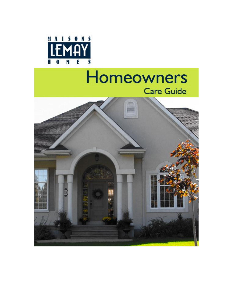

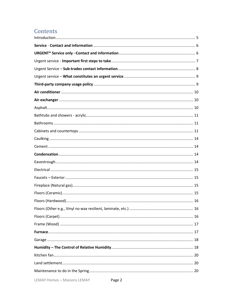# Contents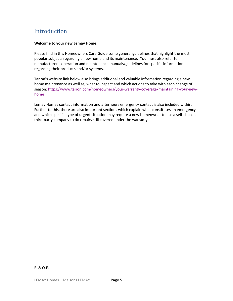# <span id="page-4-0"></span>**Introduction**

#### **Welcome to your new Lemay Home.**

Please find in this Homeowners Care Guide some general guidelines that highlight the most popular subjects regarding a new home and its maintenance. You must also refer to manufacturers' operation and maintenance manuals/guidelines for specific information regarding their products and/or systems.

Tarion's website link below also brings additional and valuable information regarding a new home maintenance as well as, what to inspect and which actions to take with each change of season: [https://www.tarion.com/homeowners/your-warranty-coverage/maintaining-your-new](https://www.tarion.com/homeowners/your-warranty-coverage/maintaining-your-new-home)[home](https://www.tarion.com/homeowners/your-warranty-coverage/maintaining-your-new-home)

Lemay Homes contact information and afterhours emergency contact is also included within. Further to this, there are also important sections which explain what constitutes an emergency and which specific type of urgent situation may require a new homeowner to use a self-chosen third-party company to do repairs still covered under the warranty.

#### E. & O.E.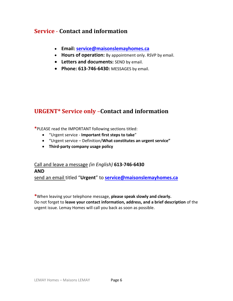## <span id="page-5-0"></span>**Service** - **Contact and information**

- **Email: [service@maisonslemayhomes.ca](mailto:service@maisonslemayhomes.ca)**
- **Hours of operation:** By appointment only. RSVP by email.
- **Letters and documents:** SEND by email.
- **Phone: 613-746-6430:** MESSAGES by email.

## <span id="page-5-1"></span>**URGENT\* Service only** –**Contact and information**

**\***PLEASE read the IMPORTANT following sections titled:

- "Urgent service **Important first steps to take**"
- "Urgent service Definition/**What constitutes an urgent service"**
- **Third-party company usage policy**

# Call and leave a message *(in English)* **613-746-6430 AND**

send an email titled "**Urgent**" to **[service@maisonslemayhomes.ca](mailto:service@maisonslemayhomes.ca)**

**\***When leaving your telephone message, **please speak slowly and clearly.**  Do not forget to **leave your contact information, address, and a brief description** of the urgent issue. Lemay Homes will call you back as soon as possible.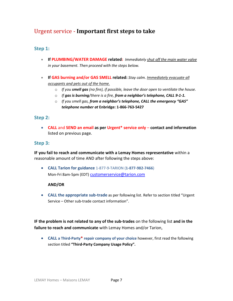## <span id="page-6-0"></span>Urgent service - **Important first steps to take**

#### **Step 1:**

- **If PLUMBING/WATER DAMAGE related:** *Immediately shut off the main water valve in your basement. Then proceed with the steps below.*
- **If GAS burning and/or GAS SMELL related:** *Stay calm. Immediately evacuate all occupants and pets out of the home.*
	- o *If you smell gas (no fire), if possible, leave the door open to ventilate the house.*
	- o *If gas is burning/there is a fire, from a neighbor's telephone, CALL 9-1-1.*
	- o *If you smell gas, from a neighbor's telephone, CALL the emergency "GAS" telephone number at* **Enbridge: 1-866-763-5427**

#### **Step 2:**

• **CALL** and **SEND an email as per Urgent\* service only** – **contact and information** listed on previous page.

#### **Step 3:**

**IF you fail to reach and communicate with a Lemay Homes representative** within a reasonable amount of time AND after following the steps above:

• **CALL Tarion for guidance** 1-877-9-TARION (**1-877-982-7466**) Mon-Fri 8am-5pm (EDT) [customerservice@tarion.com](mailto:customerservice@tarion.com)

#### **AND/OR**

• **CALL the appropriate sub-trade** as per following list. Refer to section titled "Urgent Service – Other sub-trade contact information".

**IF the problem is not related to any of the sub-trades** on the following list **and in the failure to reach and communicate** with Lemay Homes and/or Tarion,

• **CALL a Third-Party\* repair company of your choice** however, first read the following section titled **"Third-Party Company Usage Policy".**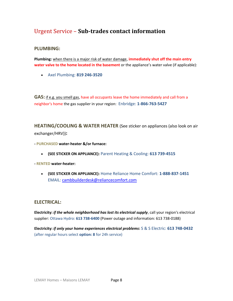## <span id="page-7-0"></span>Urgent Service – **Sub-trades contact information**

#### **PLUMBING:**

**Plumbing:** when there is a major risk of water damage, **immediately shut off the main entry water valve to the home located in the basement** or the appliance's water valve (if applicable):

• Axel Plumbing: **819 246-3520**

**GAS:** if e.g. you smell gas, have all occupants leave the home immediately and call from a neighbor's home the gas supplier in your region: Enbridge: **1-866-763-5427**

**HEATING/COOLING & WATER HEATER** (See sticker on appliances (also look on air exchanger/HRV))**:**

- **- PURCHASED water-heater &/or furnace:**
	- **(SEE STICKER ON APPLIANCE):** Parent Heating & Cooling: **613 739-4515**
- **- RENTED water-heater:**
	- **(SEE STICKER ON APPLIANCE):** Home Reliance Home Comfort: **1-888-837-1451**  EMAIL: [cambbuilderdesk@reliancecomfort.com](mailto:cambbuilderdesk@reliancecomfort.com)

#### **ELECTRICAL:**

**Electricity:** *if the whole neighborhood has lost its electrical supply*, call your region's electrical supplier: Ottawa Hydro: **613 738-6400** (Power outage and information: 613 738-0188)

**Electricity:** *if only your home experiences electrical problems***:** S & S Electric: **613 748-0432** (after regular hours select **option: 8** for 24h service)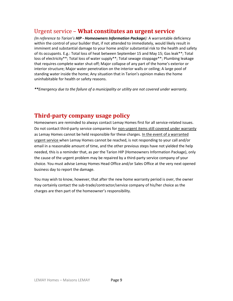### <span id="page-8-0"></span>Urgent service – **What constitutes an urgent service**

*(In reference to Tarion's HIP - Homeowners Information Package):* A warrantable deficiency within the control of your builder that, if not attended to immediately, would likely result in imminent and substantial damage to your home and/or substantial risk to the health and safety of its occupants. E.g.: Total loss of heat between September 15 and May 15; Gas leak\*\*; Total loss of electricity\*\*; Total loss of water supply\*\*; Total sewage stoppage\*\*; Plumbing leakage that requires complete water shut-off; Major collapse of any part of the home's exterior or interior structure; Major water penetration on the interior walls or ceiling; A large pool of standing water inside the home; Any situation that in Tarion's opinion makes the home uninhabitable for health or safety reasons.

*\*\*Emergency due to the failure of a municipality or utility are not covered under warranty.*

### <span id="page-8-1"></span>**Third-party company usage policy**

Homeowners are reminded to always contact Lemay Homes first for all service-related issues. Do not contact third-party service companies for non-urgent items still covered under warranty as Lemay Homes cannot be held responsible for these charges. In the event of a warranted urgent service when Lemay Homes cannot be reached, is not responding to your call and/or email in a reasonable amount of time, and the other previous steps have not yielded the help needed, this is a reminder that, as per the Tarion HIP (Homeowners Information Package), only the cause of the urgent problem may be repaired by a third-party service company of your choice. You must advise Lemay Homes Head Office and/or Sales Office at the very next opened business day to report the damage.

You may wish to know, however, that after the new home warranty period is over, the owner may certainly contact the sub-trade/contractor/service company of his/her choice as the charges are then part of the homeowner's responsibility.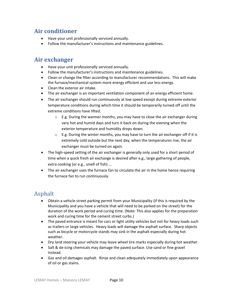## <span id="page-9-0"></span>**Air conditioner**

- Have your unit professionally serviced annually.
- Follow the manufacturer's instructions and maintenance guidelines.

### <span id="page-9-1"></span>**Air exchanger**

- Have your unit professionally serviced annually.
- Follow the manufacturer's instructions and maintenance guidelines.
- Clean or change the filter according to manufacturer recommendations. This will make the furnace/mechanical system more energy efficient and use less energy.
- Clean the exterior air intake.
- The air exchanger is an important ventilation component of an energy efficient home.
- The air exchanger should run continuously at low speed except during extreme exterior temperature conditions during which time it should be temporarily turned off until the extreme conditions have lifted.
	- $\circ$  E.g. During the warmer months, you may have to close the air exchanger during very hot and humid days and turn it back on during the evening when the exterior temperature and humidity drops down.
	- $\circ$  E.g. During the winter months, you may have to turn the air exchanger off if it is extremely cold outside but the next day, when the temperatures rise, the air exchanger must be turned on again.
- The high-speed setting of the air exchanger is generally only used for a short period of time when a quick fresh air exchange is desired after e.g., large gathering of people, extra cooking (or e.g., smell of fish) ...
- The air exchanger uses the furnace fan to circulate the air in the home hence requiring the furnace fan to run continuously.

## <span id="page-9-2"></span>Asphalt

- Obtain a vehicle street parking permit from your Municipality (if this is required by the Municipality and you have a vehicle that will need to be parked on the street) for the duration of the work period and curing time. (Note: This also applies for the preparation work and curing time for the cement street curbs.)
- The paved entrance is meant for cars or light utility vehicles but not for heavy loads such as trailers or large vehicles. Heavy loads will damage the asphalt surface. Sharp objects such as bicycle or motorcycle stands may sink in the asphalt especially during hot weather.
- Dry land steering your vehicle may leave wheel tire marks especially during hot weather.
- Salt & de-icing chemicals may damage the paved surface. Use sand or fine gravel instead.
- Gas and oil damages asphalt. Rinse and clean adequately immediately upon appearance of oil or gas stains.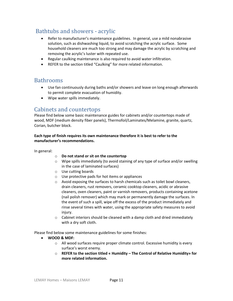## <span id="page-10-0"></span>Bathtubs and showers - acrylic

- Refer to manufacturer's maintenance guidelines. In general, use a mild nonabrasive solution, such as dishwashing liquid, to avoid scratching the acrylic surface. Some household cleaners are much too strong and may damage the acrylic by scratching and removing the acrylic's luster with repeated use.
- Regular caulking maintenance is also required to avoid water infiltration.
- REFER to the section titled "Caulking" for more related information.

### <span id="page-10-1"></span>Bathrooms

- Use fan continuously during baths and/or showers and leave on long enough afterwards to permit complete evacuation of humidity.
- Wipe water spills immediately.

### <span id="page-10-2"></span>Cabinets and countertops

Please find below some basic maintenance guides for cabinets and/or countertops made of wood, MDF (medium density fiber panels), Thermofoil/Laminates/Melamine, granite, quartz, Corian, butcher block.

#### **Each type of finish requires its own maintenance therefore it is best to refer to the manufacturer's recommendations.**

#### In general:

- o **Do not stand or sit on the countertop**
- $\circ$  Wipe spills immediately (to avoid staining of any type of surface and/or swelling in the case of laminated surfaces)
- o Use cutting boards
- o Use protective pads for hot items or appliances
- $\circ$  Avoid exposing the surfaces to harsh chemicals such as toilet bowl cleaners, drain cleaners, rust removers, ceramic cooktop cleaners, acidic or abrasive cleaners, oven cleaners, paint or varnish removers, products containing acetone (nail polish remover) which may mark or permanently damage the surfaces. In the event of such a spill, wipe off the excess of the product immediately and rinse several times with water, using the appropriate safety measures to avoid injury.
- o Cabinet interiors should be cleaned with a damp cloth and dried immediately with a dry soft cloth.

Please find below some maintenance guidelines for some finishes:

- **WOOD & MDF:**
	- $\circ$  All wood surfaces require proper climate control. Excessive humidity is every surface's worst enemy.
	- o **REFER to the section titled « Humidity – The Control of Relative Humidity» for more related information.**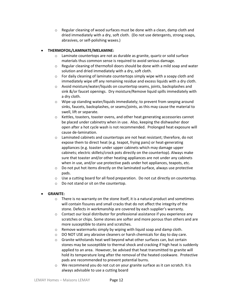$\circ$  Regular cleaning of wood surfaces must be done with a clean, damp cloth and dried immediately with a dry, soft cloth. (Do not use detergents, strong soaps, abrasives, or self-polishing waxes.)

#### • **THERMOFOIL/LAMINATE/MELAMINE:**

- $\circ$  Laminate countertops are not as durable as granite, quartz or solid surface materials thus common sense is required to avoid serious damage.
- $\circ$  Regular cleaning of thermofoil doors should be done with a mild soap and water solution and dried immediately with a dry, soft cloth.
- $\circ$  For daily cleaning of laminate countertops simply wipe with a soapy cloth and immediately wipe off any remaining residue and excess liquids with a dry cloth.
- o Avoid moisture/water/liquids on countertop seams, joints, backsplashes and sink &/or faucet openings. Dry moisture/Remove liquid spills immediately with a dry cloth.
- o Wipe up standing water/liquids immediately; to prevent from seeping around sinks, faucets, backsplashes, or seams/joints, as this may cause the material to swell, lift or separate.
- o Kettles, toasters, toaster ovens, and other heat generating accessories cannot be placed under cabinetry when in use. Also, keeping the dishwasher door open after a hot cycle wash is not recommended. Prolonged heat exposure will cause de-lamination.
- $\circ$  Laminated cabinets and countertops are not heat resistant; therefore, do not expose them to direct heat (e.g. teapot, frying pans) or heat-generating appliances (e.g. toaster under upper cabinets which may damage upper cabinets; electric skillets/crock pots directly on the countertop). Always make sure that toaster and/or other heating appliances are not under any cabinets when in use, and/or use protective pads under hot appliances, teapots, etc.
- o Do not put hot items directly on the laminated surface, always use protective pads.
- $\circ$  Use a cutting board for all food preparation. Do not cut directly on countertop.
- o Do not stand or sit on the countertop.

#### • **GRANITE:**

- o There is no warranty on the stone itself, it is a natural product and sometimes will contain fissures and small cracks that do not affect the integrity of the stone. Defects in workmanship are covered by each supplier's warranty.
- $\circ$  Contact our local distributor for professional assistance if you experience any scratches or chips. Some stones are softer and more porous than others and are more susceptible to stains and scratches.
- o Remove watermarks simply by wiping with liquid soap and damp cloth.
- o DO NOT USE any abrasive cleaners or harsh chemicals for day to day care.
- $\circ$  Granite withstands heat well beyond what other surfaces can, but certain stones may be susceptible to thermal shock and cracking if high heat is suddenly applied to an area. However, be advised that heat transmitted to granite will hold its temperature long after the removal of the heated cookware. Protective pads are recommended to prevent potential burns.
- o We recommend you do not cut on your granite surface as it can scratch. It is always advisable to use a cutting board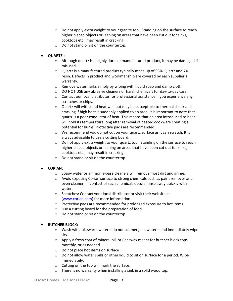- $\circ$  Do not apply extra weight to your granite top. Standing on the surface to reach higher placed objects or leaning on areas that have been cut out for sinks, cooktops etc., may result in cracking.
- o Do not stand or sit on the countertop.

#### • **QUARTZ :**

- $\circ$  Although quartz is a highly durable manufactured product, it may be damaged if misused.
- $\circ$  Quartz is a manufactured product typically made up of 93% Quartz and 7% resin. Defects in product and workmanship are covered by each supplier's warranty.
- o Remove watermarks simply by wiping with liquid soap and damp cloth.
- $\circ$  DO NOT USE any abrasive cleaners or harsh chemicals for day-to-day care.
- o Contact our local distributor for professional assistance if you experience any scratches or chips.
- o Quartz will withstand heat well but may be susceptible to thermal shock and cracking if high heat is suddenly applied to an area. It is important to note that quartz is a poor conductor of heat. This means that an area introduced to heat will hold its temperature long after removal of heated cookware creating a potential for burns. Protective pads are recommended.
- $\circ$  We recommend you do not cut on your quartz surface as it can scratch. It is always advisable to use a cutting board.
- $\circ$  Do not apply extra weight to your quartz top. Standing on the surface to reach higher placed objects or leaning on areas that have been cut out for sinks, cooktops etc., may result in cracking.
- o Do not stand or sit on the countertop.

#### • **CORIAN:**

- $\circ$  Soapy water or ammonia-base cleaners will remove most dirt and grime.
- o Avoid exposing Corian surface to strong chemicals such as paint remover and oven cleaner. If contact of such chemicals occurs, rinse away quickly with water.
- o Scratches: Contact your local distributor or visit their website at [\(www.corian.com\)](http://www.corian.com/) for more information.
- o Protective pads are recommended for prolonged exposure to hot items.
- o Use a cutting board for the preparation of food.
- o Do not stand or sit on the countertop.

#### • **BUTCHER BLOCK:**

- $\circ$  Wash with lukewarm water do not submerge in water and immediately wipe dry.
- $\circ$  Apply a fresh coat of mineral oil, or Beeswax meant for butcher block tops monthly, or as needed.
- o Do not place hot items on surface
- o Do not allow water spills or other liquid to sit on surface for a period. Wipe immediately.
- o Cutting on the top will mark the surface.
- o There is no warranty when installing a sink in a solid wood top.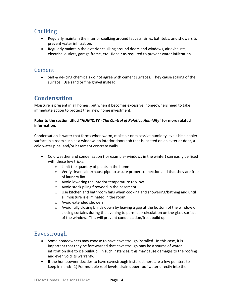## <span id="page-13-0"></span>**Caulking**

- Regularly maintain the interior caulking around faucets, sinks, bathtubs, and showers to prevent water infiltration.
- Regularly maintain the exterior caulking around doors and windows, air exhausts, electrical outlets, garage frame, etc. Repair as required to prevent water infiltration.

### <span id="page-13-1"></span>Cement

• Salt & de-icing chemicals do not agree with cement surfaces. They cause scaling of the surface. Use sand or fine gravel instead.

## <span id="page-13-2"></span>**Condensation**

Moisture is present in all homes, but when it becomes excessive, homeowners need to take immediate action to protect their new home investment.

#### **Refer to the section titled** *"HUMIDITY - The Control of Relative Humidity"* **for more related information.**

Condensation is water that forms when warm, moist air or excessive humidity levels hit a cooler surface in a room such as a window, an interior doorknob that is located on an exterior door, a cold water pipe, and/or basement concrete walls.

- Cold weather and condensation (for example- windows in the winter) can easily be fixed with these few tricks:
	- o Limit the quantity of plants in the home
	- $\circ$  Verify dryers air exhaust pipe to assure proper connection and that they are free of laundry lint
	- o Avoid lowering the interior temperature too low
	- o Avoid stock piling firewood in the basement
	- o Use kitchen and bathroom fans when cooking and showering/bathing and until all moisture is eliminated in the room.
	- o Avoid extended showers.
	- $\circ$  Avoid fully closing blinds down by leaving a gap at the bottom of the window or closing curtains during the evening to permit air circulation on the glass surface of the window. This will prevent condensation/frost build up.

## <span id="page-13-3"></span>Eavestrough

- Some homeowners may choose to have eavestrough installed. In this case, it is important that they be forewarned that eavestrough may be a source of water infiltration due to ice buildup. In such instances, this may cause damages to the roofing and even void its warranty.
- If the homeowner decides to have eavestrough installed, here are a few pointers to keep in mind: 1) For multiple roof levels, drain upper roof water directly into the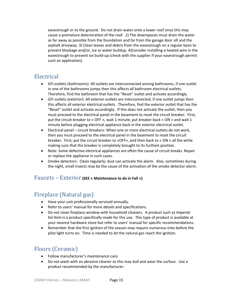eavestrough or to the ground. Do not drain water onto a lower roof since this may cause a premature deterioration of the roof. 2) The downspouts must drain the water as far away as possible from the foundation and far from the garage door sill and the asphalt driveway. 3) Clean leaves and debris from the eavestrough on a regular basis to prevent blockage and/or, ice or water buildup. 4)Consider installing a heated wire in the eavestrough to prevent ice build-up (check with the supplier if your eavestrough permit such an application).

### <span id="page-14-0"></span>Electrical

- GFI outlets (bathrooms): All outlets are interconnected among bathrooms, if one outlet in one of the bathrooms jumps then this affects all bathroom electrical outlets. Therefore, find the bathroom that has the "Reset" outlet and activate accordingly.
- GFI outlets (exterior): All exterior outlets are interconnected, if one outlet jumps then this affects all exterior electrical outlets. Therefore, find the exterior outlet that has the "Reset" outlet and activate accordingly. If this does not activate the outlet, then you must proceed to the electrical panel in the basement to reset the circuit breaker. First, put the circuit breaker to « OFF », wait 1 minute, put breaker back « ON » and wait 1 minute before plugging electrical appliance back in the exterior electrical outlet.
- Electrical panel circuit breakers: When one or more electrical outlets do not work, then you must proceed to the electrical panel in the basement to reset the circuit breaker. First, put the circuit breaker to «OFF», and then back to « ON » all the while making sure that the breaker is completely brought to its furthest position.
- Note: Some defective electrical appliances are often the cause of circuit breaks. Repair or replace the appliance in such cases.
- Smoke detectors: Clean regularly; dust can activate the alarm. Also, sometimes during the night, small insects may be the cause of the activation of the smoke detector alarm.

#### <span id="page-14-1"></span>Faucets – Exterior **(SEE « Maintenance to do in Fall »)**

## <span id="page-14-2"></span>Fireplace (Natural gas)

- Have your unit professionally serviced annually.
- Refer to users' manual for more details and specifications.
- Do not clean fireplace window with household cleaners. A product such as *Imperial Kel Kem* is a product specifically made for this use. This type of product is available at your nearest hardware store but refer to users' manual for specific recommendations.
- Remember that the first ignition of the season may require numerous tries before the pilot light turns on. Time is needed to let the natural gas reach the ignition.

## <span id="page-14-3"></span>Floors (Ceramic)

- Follow manufacturer's maintenance care.
- Do not wash with an abrasive cleaner as this may dull and wear the surface. Use a product recommended by the manufacturer.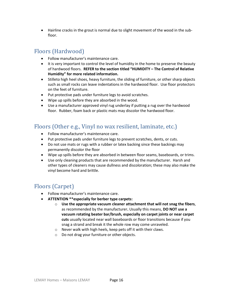• Hairline cracks in the grout is normal due to slight movement of the wood in the subfloor.

## <span id="page-15-0"></span>Floors (Hardwood)

- Follow manufacturer's maintenance care.
- It is very important to control the level of humidity in the home to preserve the beauty of hardwood floors. **REFER to the section titled "HUMIDITY – The Control of Relative Humidity" for more related information.**
- Stilleto high heel shoes, heavy furniture, the sliding of furniture, or other sharp objects such as small rocks can leave indentations in the hardwood floor. Use floor protectors on the feet of furniture.
- Put protective pads under furniture legs to avoid scratches.
- Wipe up spills before they are absorbed in the wood.
- Use a manufacturer approved vinyl rug underlay if putting a rug over the hardwood floor. Rubber, foam back or plastic mats may discolor the hardwood floor.

### <span id="page-15-1"></span>Floors (Other e.g., Vinyl no wax resilient, laminate, etc.)

- Follow manufacturer's maintenance care.
- Put protective pads under furniture legs to prevent scratches, dents, or cuts.
- Do not use mats or rugs with a rubber or latex backing since these backings may permanently discolor the floor
- Wipe up spills before they are absorbed in between floor seams, baseboards, or trims.
- Use only cleaning products that are recommended by the manufacturer. Harsh and other types of cleaners may cause dullness and discoloration; these may also make the vinyl become hard and brittle.

## <span id="page-15-2"></span>Floors (Carpet)

- Follow manufacturer's maintenance care.
- **ATTENTION \*\*especially for berber type carpets:** 
	- o **Use the appropriate vacuum cleaner attachment that will not snag the fibers**, as recommended by the manufacturer**.** Usually this means, **DO NOT use a vacuum rotating beater bar/brush, especially on carpet joints or near carpet cuts** usually located near wall baseboards or floor transitions because if you snag a strand and break it the whole row may come unraveled.
	- o Never walk with high heels, keep pets off it with their claws.
	- o Do not drag your furniture or other objects.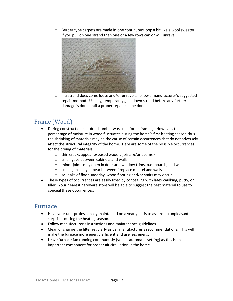$\circ$  Berber type carpets are made in one continuous loop a bit like a wool sweater, if you pull on one strand then one or a few rows can or will unravel.



o If a strand does come loose and/or unravels, follow a manufacturer's suggested repair method. Usually, temporarily glue down strand before any further damage is done until a proper repair can be done.

## <span id="page-16-0"></span>Frame (Wood)

- During construction kiln-dried lumber was used for its framing. However, the percentage of moisture in wood fluctuates during the home's first heating season thus the shrinking of materials may be the cause of certain occurrences that do not adversely affect the structural integrity of the home. Here are some of the possible occurrences for the drying of materials:
	- o thin cracks appear exposed wood « joists &/or beams »
	- o small gaps between cabinets and walls
	- o minor joints may open in door and window trims, baseboards, and walls
	- o small gaps may appear between fireplace mantel and walls
	- o squeaks of floor underlay, wood flooring and/or stairs may occur
- These types of occurrences are easily fixed by concealing with latex caulking, putty, or filler. Your nearest hardware store will be able to suggest the best material to use to conceal these occurrences.

### <span id="page-16-1"></span>**Furnace**

- Have your unit professionally maintained on a yearly basis to assure no unpleasant surprises during the heating season.
- Follow manufacturer's instructions and maintenance guidelines.
- Clean or change the filter regularly as per manufacturer's recommendations. This will make the furnace more energy efficient and use less energy.
- Leave furnace fan running continuously (versus automatic setting) as this is an important component for proper air circulation in the home.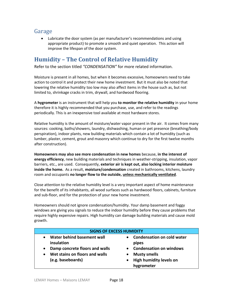### <span id="page-17-0"></span>Garage

• Lubricate the door system (as per manufacturer's recommendations and using appropriate product) to promote a smooth and quiet operation. This action will improve the lifespan of the door system.

## <span id="page-17-1"></span>**Humidity – The Control of Relative Humidity**

Refer to the section titled *"CONDENSATION"* for more related information.

Moisture is present in all homes, but when it becomes excessive, homeowners need to take action to control it and protect their new home investment. But it must also be noted that lowering the relative humidity too low may also affect items in the house such as, but not limited to, shrinkage cracks in trim, drywall, and hardwood flooring.

A **hygrometer** is an instrument that will help you **to monitor the relative humidity** in your home therefore it is highly recommended that you purchase, use, and refer to the readings periodically. This is an inexpensive tool available at most hardware stores.

Relative humidity is the amount of moisture/water vapor present in the air. It comes from many sources: cooking, baths/showers, laundry, dishwashing, human or pet presence (breathing/body perspiration), indoor plants, new building materials which contain a lot of humidity (such as lumber, plaster, cement, grout and masonry which continue to dry for the first twelve months after construction).

**Homeowners may also see more condensation in new homes** because, **in the interest of energy efficiency**, new building materials and techniques in weather-stripping, insulation, vapor barriers, etc., are used. Consequently, **exterior air is kept out, also locking interior moisture inside the home.** As a result, **moisture/condensation** created in bathrooms, kitchens, laundry room and occupants **no longer flow to the outside, unless mechanically ventilated**.

Close attention to the relative humidity level is a very important aspect of home maintenance for the benefit of its inhabitants, all wood surfaces such as hardwood floors, cabinets, furniture and sub-floor, and for the protection of your new home investment.

Homeowners should not ignore condensation/humidity. Your damp basement and foggy windows are giving you signals to reduce the indoor humidity before they cause problems that require highly expensive repairs. High humidity can damage building materials and cause mold growth.

| <b>SIGNS OF EXCESS HUMIDITY</b> |                                   |  |
|---------------------------------|-----------------------------------|--|
| Water behind basement wall      | <b>Condensation on cold water</b> |  |
| insulation                      | $\bullet$                         |  |
| Damp concrete floors and walls  | pipes                             |  |
| $\bullet$                       | • Condensation on windows         |  |
| Wet stains on floors and walls  | <b>Musty smells</b>               |  |
| $\bullet$                       | <b>High humidity levels on</b>    |  |
| (e.g. baseboards)               | hygrometer                        |  |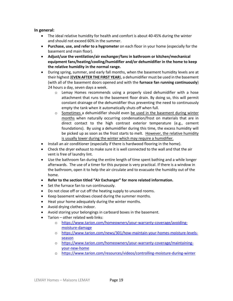#### **In general:**

- The ideal relative humidity for health and comfort is about 40-45% during the winter and should not exceed 60% in the summer.
- **Purchase, use, and refer to a hygrometer** on each floor in your home (especially for the basement and main floor).
- **Adjust/use the ventilation/air exchanger/fans in bathroom or kitchen/mechanical equipment fans/heating/cooling/humidifier and/or dehumidifier in the home to keep the relative humidity in the normal range.**
- During spring, summer, and early fall months, when the basement humidity levels are at their highest (**EVEN AFTER THE FIRST YEAR**), a dehumidifier must be used in the basement (with all of the basement doors opened and with the **furnace fan running continuously**) 24 hours a day, seven days a week.
	- $\circ$  Lemay Homes recommends using a properly sized dehumidifier with a hose attachment that runs to the basement floor drain. By doing so, this will permit constant drainage of the dehumidifier thus preventing the need to continuously empty the tank when it automatically shuts off when full.
	- $\circ$  Sometimes a dehumidifier should even be used in the basement during winter months when naturally occurring condensation/frost on materials that are in direct contact to the high contrast exterior temperature (e.g., cement foundations). By using a dehumidifier during this time, the excess humidity will be picked up as soon as the frost starts to melt. However, the relative humidity is usually lower during the winter which may require a humidifier.
- Install an air conditioner (especially if there is hardwood flooring in the home).
- Check the dryer exhaust to make sure it is well connected to the wall and that the air vent is free of laundry lint.
- Use the bathroom fan during the entire length of time spent bathing and a while longer afterwards. The use of a timer for this purpose is very practical. If there is a window in the bathroom, open it to help the air circulate and to evacuate the humidity out of the home.
- **Refer to the section titled "Air Exchanger" for more related information.**
- Set the furnace fan to run continuously.
- Do not close off or cut off the heating supply to unused rooms.
- Keep basement windows closed during the summer months.
- Heat your home adequately during the winter months.
- Avoid drying clothes indoor.
- Avoid storing your belongings in carboard boxes in the basement.
- Tarion other related web links:
	- o [https://www.tarion.com/homeowners/your-warranty-coverage/avoiding](https://www.tarion.com/homeowners/your-warranty-coverage/avoiding-moisture-damage)[moisture-damage](https://www.tarion.com/homeowners/your-warranty-coverage/avoiding-moisture-damage)
	- o [https://www.tarion.com/news/301/how-maintain-your-homes-moisture-levels](https://www.tarion.com/news/301/how-maintain-your-homes-moisture-levels-season)[season](https://www.tarion.com/news/301/how-maintain-your-homes-moisture-levels-season)
	- o [https://www.tarion.com/homeowners/your-warranty-coverage/maintaining](https://www.tarion.com/homeowners/your-warranty-coverage/maintaining-your-new-home)[your-new-home](https://www.tarion.com/homeowners/your-warranty-coverage/maintaining-your-new-home)
	- o <https://www.tarion.com/resources/videos/controlling-moisture-during-winter>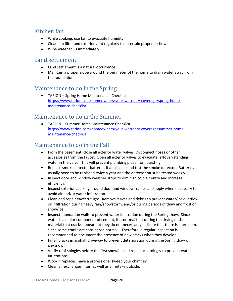## <span id="page-19-0"></span>Kitchen fan

- While cooking, use fan to evacuate humidity.
- Clean fan filter and exterior vent regularly to ascertain proper air flow.
- Wipe water spills immediately.

### <span id="page-19-1"></span>Land settlement

- Land settlement is a natural occurrence.
- Maintain a proper slope around the perimeter of the home to drain water away from the foundation.

### <span id="page-19-2"></span>Maintenance to do in the Spring

• TARION – Spring Home Maintenance Checklist: [https://www.tarion.com/homeowners/your-warranty-coverage/spring-home](https://www.tarion.com/homeowners/your-warranty-coverage/spring-home-maintenance-checklist)[maintenance-checklist](https://www.tarion.com/homeowners/your-warranty-coverage/spring-home-maintenance-checklist)

### <span id="page-19-3"></span>Maintenance to do in the Summer

• TARION – Summer Home Maintenance Checklist: [https://www.tarion.com/homeowners/your-warranty-coverage/summer-home](https://www.tarion.com/homeowners/your-warranty-coverage/summer-home-maintenance-checklist)[maintenance-checklist](https://www.tarion.com/homeowners/your-warranty-coverage/summer-home-maintenance-checklist)

### <span id="page-19-4"></span>Maintenance to do in the Fall

- From the basement, close all exterior water valves. Disconnect hoses or other accessories from the faucet. Open all exterior valves to evacuate leftover/standing water in the valve. This will prevent plumbing pipes from bursting.
- Replace smoke detector batteries if applicable and test the smoke detector. Batteries usually need to be replaced twice a year and the detector must be tested weekly.
- Inspect door and window weather strips to diminish cold air entry and increase efficiency.
- Inspect exterior caulking around door and window frames and apply when necessary to avoid air and/or water infiltration.
- Clean and repair eavestrough: Remove leaves and debris to prevent water/ice overflow or infiltration during heavy rain/snowstorm, and/or during periods of thaw and frost of snow/ice.
- Inspect foundation walls to prevent water infiltration during the Spring thaw. Since water is a major component of cement, it is normal that during the drying of the material that cracks appear but they do not necessarily indicate that there is a problem, since some cracks are considered normal. Therefore, a regular inspection is recommended to document the presence of new cracks when they develop
- Fill all cracks in asphalt driveway to prevent deterioration during the Spring thaw of ice/snow.
- Verify roof shingles before the first snowfall and repair accordingly to prevent water infiltrations.
- Wood fireplaces: have a professional sweep your chimney.
- Clean air exchanger filter, as well as air intake outside.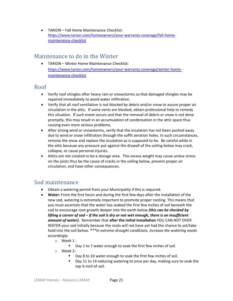• TARION – Fall Home Maintenance Checklist: [https://www.tarion.com/homeowners/your-warranty-coverage/fall-home](https://www.tarion.com/homeowners/your-warranty-coverage/fall-home-maintenance-checklist)[maintenance-checklist](https://www.tarion.com/homeowners/your-warranty-coverage/fall-home-maintenance-checklist)

### <span id="page-20-0"></span>Maintenance to do in the Winter

• TARION – Winter Home Maintenance Checklist: [https://www.tarion.com/homeowners/your-warranty-coverage/winter-home](https://www.tarion.com/homeowners/your-warranty-coverage/winter-home-maintenance-checklist)[maintenance-checklist](https://www.tarion.com/homeowners/your-warranty-coverage/winter-home-maintenance-checklist)

### <span id="page-20-1"></span>Roof

- Verify roof shingles after heavy rain or snowstorms so that damaged shingles may be repaired immediately to avoid water infiltration.
- Verify that all roof ventilation is not blocked by debris and/or snow to assure proper air circulation in the attic. If some vents are blocked, obtain professional help to remedy this situation. If such event occurs and that the removal of debris or snow is not done promptly, this may result in an accumulation of condensation in the attic space thus causing even more serious problems.
- After strong wind or snowstorms, verify that the insulation has not been pushed away due to wind or snow infiltration through the soffit aeration holes. In such circumstances, remove the snow and replace the insulation as is supposed to be. Be careful while in the attic because any pressure put against the drywall of the ceiling below may crack, collapse, or cause personal injuries.
- Attics are not created to be a storage area. This excess weight may cause undue stress on the joists thus be the cause of cracks in the ceiling below, prevent proper air circulation, and have other consequences.

## <span id="page-20-2"></span>Sod maintenance

- Obtain a watering permit from your Municipality if this is required.
- **Water:** From the first hours and during the first few days after the installation of the new sod, watering is extremely important to promote proper rooting. This means that you must ascertain that the water has soaked the first few inches of soil beneath the sod to encourage root growth deeper into the earth below *(this can be checked by lifting a corner of sod – if the soil is dry or not wet enough, there is an insufficient amount of water)***.** Remember that **after the initial installation** YOU CAN NOT OVER WATER your sod initially because the roots will not have yet had the chance to set/take hold into the soil below. *\*\*\*In extreme drought conditions, increase the watering needs accordingly.*
	- o Week 1 :
		- Day 1 to 7 water enough to soak the first few inches of soil.
	- o Week 2:
		- Day 8 to 10 water enough to soak the first few inches of soil.
		- Day 11 to 14 reducing watering to once per day, making sure to soak the top ¼ inch of soil.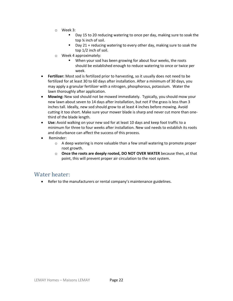- o Week 3:
	- Day 15 to 20 reducing watering to once per day, making sure to soak the top ¼ inch of soil.
	- Day 21 + reducing watering to every other day, making sure to soak the top 1/2 inch of soil.
- o Week 4 approximately:
	- When your sod has been growing for about four weeks, the roots should be established enough to reduce watering to once or twice per week.
- **Fertilizer:** Most sod is fertilized prior to harvesting, so it usually does not need to be fertilized for at least 30 to 60 days after installation. After a minimum of 30 days, you may apply a granular fertilizer with a nitrogen, phosphorous, potassium. Water the lawn thoroughly after application.
- **Mowing:** New sod should not be mowed immediately. Typically, you should mow your new lawn about seven to 14 days after installation, but not if the grass is less than 3 inches tall. Ideally, new sod should grow to at least 4 inches before mowing. Avoid cutting it too short. Make sure your mower blade is sharp and never cut more than onethird of the blade length.
- **Use:** Avoid walking on your new sod for at least 10 days and keep foot traffic to a minimum for three to four weeks after installation. New sod needs to establish its roots and disturbance can affect the success of this process.
- Reminder:
	- o A deep watering is more valuable than a few small watering to promote proper root growth.
	- o **Once the roots are deeply rooted, DO NOT OVER WATER** because then, at that point, this will prevent proper air circulation to the root system.

#### <span id="page-21-0"></span>Water heater:

• Refer to the manufacturers or rental company's maintenance guidelines.